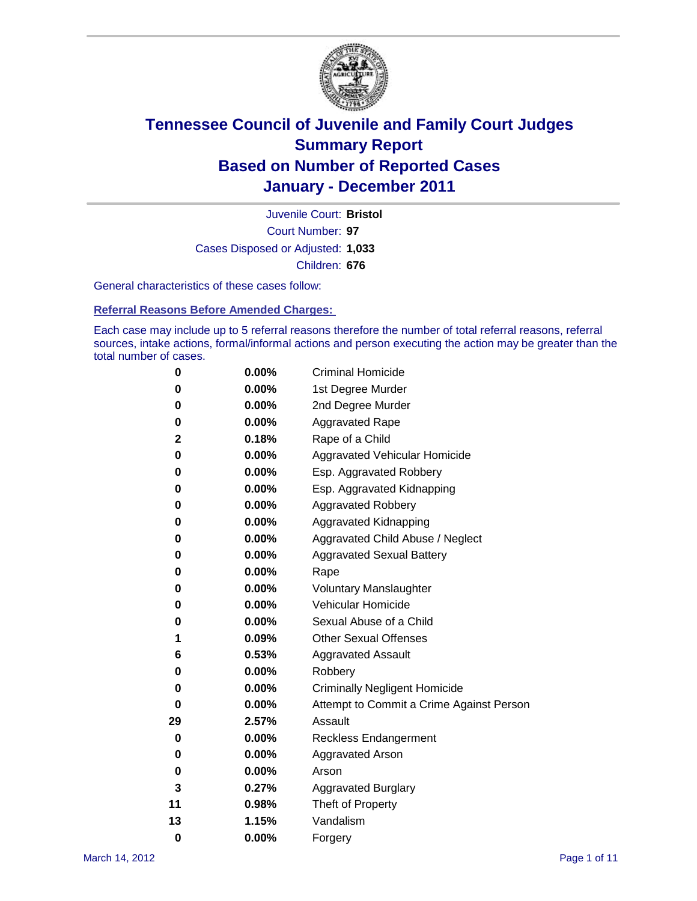

Court Number: **97** Juvenile Court: **Bristol** Cases Disposed or Adjusted: **1,033** Children: **676**

General characteristics of these cases follow:

**Referral Reasons Before Amended Charges:** 

Each case may include up to 5 referral reasons therefore the number of total referral reasons, referral sources, intake actions, formal/informal actions and person executing the action may be greater than the total number of cases.

| 0  | 0.00%    | <b>Criminal Homicide</b>                 |  |  |  |  |
|----|----------|------------------------------------------|--|--|--|--|
| 0  | 0.00%    | 1st Degree Murder                        |  |  |  |  |
| 0  | 0.00%    | 2nd Degree Murder                        |  |  |  |  |
| 0  | 0.00%    | <b>Aggravated Rape</b>                   |  |  |  |  |
| 2  | 0.18%    | Rape of a Child                          |  |  |  |  |
| 0  | 0.00%    | Aggravated Vehicular Homicide            |  |  |  |  |
| 0  | 0.00%    | Esp. Aggravated Robbery                  |  |  |  |  |
| 0  | 0.00%    | Esp. Aggravated Kidnapping               |  |  |  |  |
| 0  | 0.00%    | <b>Aggravated Robbery</b>                |  |  |  |  |
| 0  | 0.00%    | Aggravated Kidnapping                    |  |  |  |  |
| 0  | 0.00%    | Aggravated Child Abuse / Neglect         |  |  |  |  |
| 0  | $0.00\%$ | <b>Aggravated Sexual Battery</b>         |  |  |  |  |
| 0  | 0.00%    | Rape                                     |  |  |  |  |
| 0  | $0.00\%$ | <b>Voluntary Manslaughter</b>            |  |  |  |  |
| 0  | 0.00%    | Vehicular Homicide                       |  |  |  |  |
| 0  | 0.00%    | Sexual Abuse of a Child                  |  |  |  |  |
| 1  | 0.09%    | <b>Other Sexual Offenses</b>             |  |  |  |  |
| 6  | 0.53%    | <b>Aggravated Assault</b>                |  |  |  |  |
| 0  | $0.00\%$ | Robbery                                  |  |  |  |  |
| 0  | 0.00%    | <b>Criminally Negligent Homicide</b>     |  |  |  |  |
| 0  | 0.00%    | Attempt to Commit a Crime Against Person |  |  |  |  |
| 29 | 2.57%    | Assault                                  |  |  |  |  |
| 0  | 0.00%    | <b>Reckless Endangerment</b>             |  |  |  |  |
| 0  | 0.00%    | <b>Aggravated Arson</b>                  |  |  |  |  |
| 0  | 0.00%    | Arson                                    |  |  |  |  |
| 3  | 0.27%    | <b>Aggravated Burglary</b>               |  |  |  |  |
| 11 | 0.98%    | Theft of Property                        |  |  |  |  |
| 13 | 1.15%    | Vandalism                                |  |  |  |  |
| 0  | 0.00%    | Forgery                                  |  |  |  |  |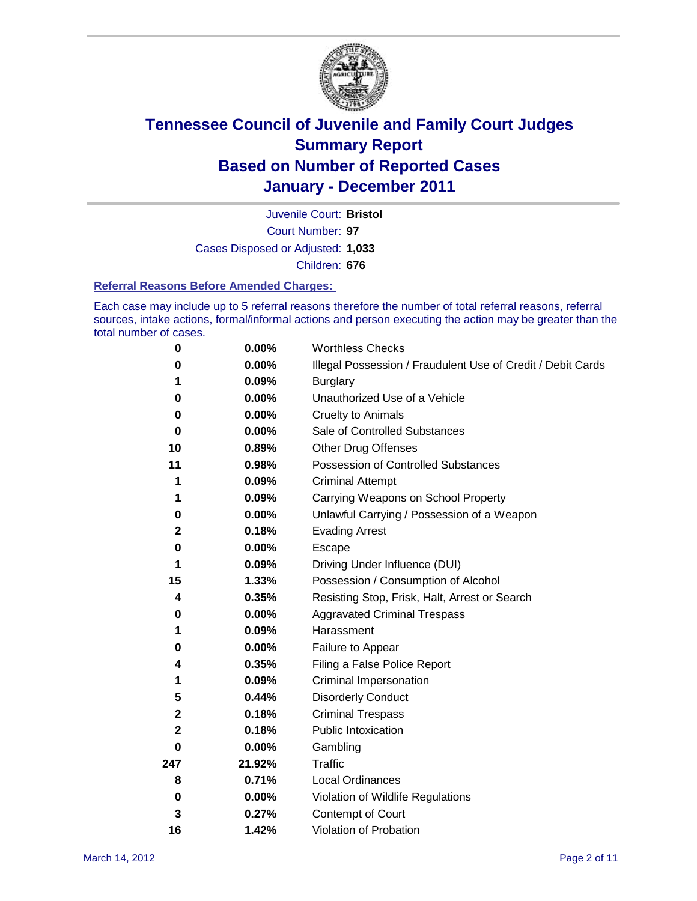

Court Number: **97** Juvenile Court: **Bristol** Cases Disposed or Adjusted: **1,033** Children: **676**

#### **Referral Reasons Before Amended Charges:**

Each case may include up to 5 referral reasons therefore the number of total referral reasons, referral sources, intake actions, formal/informal actions and person executing the action may be greater than the total number of cases.

| $\pmb{0}$ | 0.00%    | <b>Worthless Checks</b>                                     |
|-----------|----------|-------------------------------------------------------------|
| 0         | 0.00%    | Illegal Possession / Fraudulent Use of Credit / Debit Cards |
| 1         | 0.09%    | <b>Burglary</b>                                             |
| 0         | $0.00\%$ | Unauthorized Use of a Vehicle                               |
| 0         | $0.00\%$ | <b>Cruelty to Animals</b>                                   |
| $\bf{0}$  | 0.00%    | Sale of Controlled Substances                               |
| 10        | 0.89%    | <b>Other Drug Offenses</b>                                  |
| 11        | 0.98%    | Possession of Controlled Substances                         |
| 1         | 0.09%    | <b>Criminal Attempt</b>                                     |
| 1         | 0.09%    | Carrying Weapons on School Property                         |
| 0         | $0.00\%$ | Unlawful Carrying / Possession of a Weapon                  |
| 2         | 0.18%    | <b>Evading Arrest</b>                                       |
| 0         | 0.00%    | Escape                                                      |
| 1         | 0.09%    | Driving Under Influence (DUI)                               |
| 15        | 1.33%    | Possession / Consumption of Alcohol                         |
| 4         | 0.35%    | Resisting Stop, Frisk, Halt, Arrest or Search               |
| 0         | $0.00\%$ | <b>Aggravated Criminal Trespass</b>                         |
| 1         | 0.09%    | Harassment                                                  |
| 0         | 0.00%    | Failure to Appear                                           |
| 4         | 0.35%    | Filing a False Police Report                                |
| 1         | 0.09%    | Criminal Impersonation                                      |
| 5         | 0.44%    | <b>Disorderly Conduct</b>                                   |
| 2         | 0.18%    | <b>Criminal Trespass</b>                                    |
| 2         | 0.18%    | Public Intoxication                                         |
| 0         | $0.00\%$ | Gambling                                                    |
| 247       | 21.92%   | <b>Traffic</b>                                              |
| 8         | 0.71%    | <b>Local Ordinances</b>                                     |
| 0         | 0.00%    | Violation of Wildlife Regulations                           |
| 3         | 0.27%    | Contempt of Court                                           |
| 16        | 1.42%    | Violation of Probation                                      |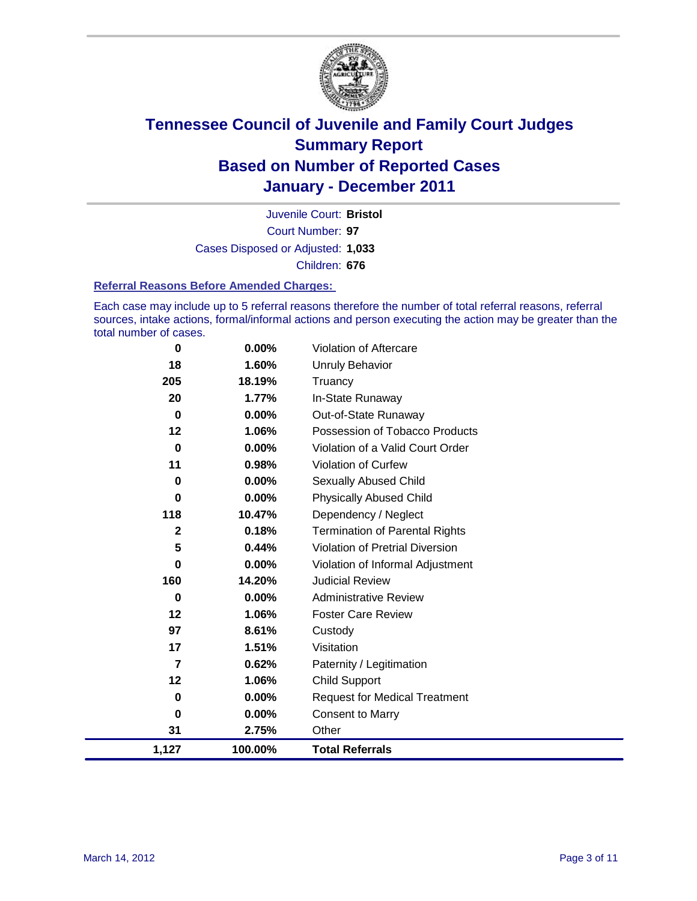

Court Number: **97** Juvenile Court: **Bristol** Cases Disposed or Adjusted: **1,033** Children: **676**

#### **Referral Reasons Before Amended Charges:**

Each case may include up to 5 referral reasons therefore the number of total referral reasons, referral sources, intake actions, formal/informal actions and person executing the action may be greater than the total number of cases.

| 0              | 0.00%   | Violation of Aftercare                 |
|----------------|---------|----------------------------------------|
| 18             | 1.60%   | <b>Unruly Behavior</b>                 |
| 205            | 18.19%  | Truancy                                |
| 20             | 1.77%   | In-State Runaway                       |
| 0              | 0.00%   | Out-of-State Runaway                   |
| 12             | 1.06%   | Possession of Tobacco Products         |
| $\bf{0}$       | 0.00%   | Violation of a Valid Court Order       |
| 11             | 0.98%   | Violation of Curfew                    |
| 0              | 0.00%   | Sexually Abused Child                  |
| 0              | 0.00%   | <b>Physically Abused Child</b>         |
| 118            | 10.47%  | Dependency / Neglect                   |
| $\overline{2}$ | 0.18%   | <b>Termination of Parental Rights</b>  |
| 5              | 0.44%   | <b>Violation of Pretrial Diversion</b> |
| 0              | 0.00%   | Violation of Informal Adjustment       |
| 160            | 14.20%  | <b>Judicial Review</b>                 |
| 0              | 0.00%   | <b>Administrative Review</b>           |
| 12             | 1.06%   | <b>Foster Care Review</b>              |
| 97             | 8.61%   | Custody                                |
| 17             | 1.51%   | Visitation                             |
| $\overline{7}$ | 0.62%   | Paternity / Legitimation               |
| 12             | 1.06%   | <b>Child Support</b>                   |
| 0              | 0.00%   | <b>Request for Medical Treatment</b>   |
| 0              | 0.00%   | <b>Consent to Marry</b>                |
| 31             | 2.75%   | Other                                  |
| 1,127          | 100.00% | <b>Total Referrals</b>                 |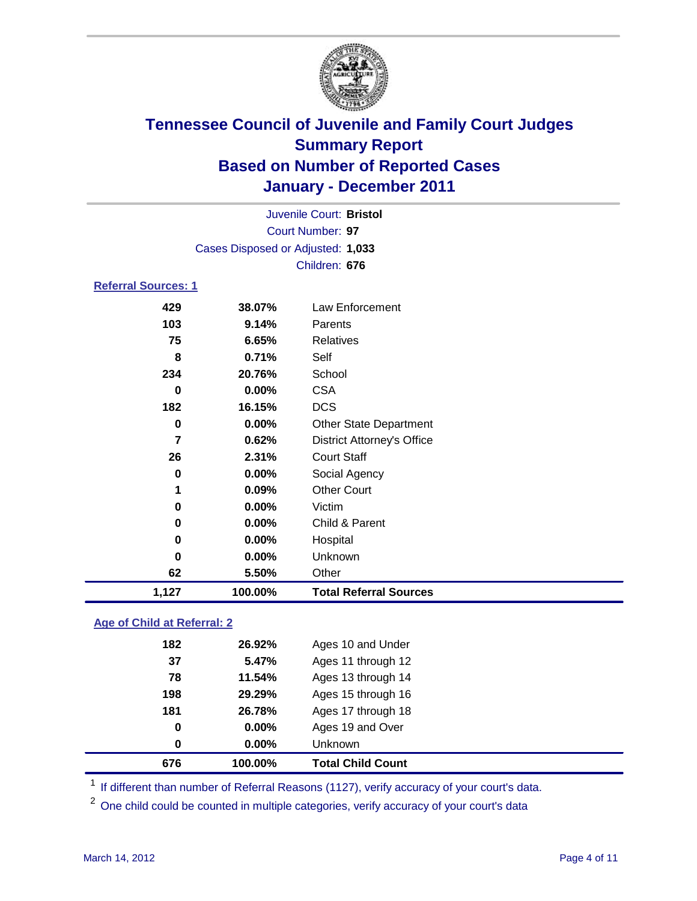

| 1,127                      | 100.00%                           | <b>Total Referral Sources</b>     |  |  |
|----------------------------|-----------------------------------|-----------------------------------|--|--|
| 62                         | 5.50%                             | Other                             |  |  |
| 0                          | 0.00%                             | Unknown                           |  |  |
| $\bf{0}$                   | 0.00%                             | Hospital                          |  |  |
| 0                          | 0.00%                             | Child & Parent                    |  |  |
| 0                          | 0.00%                             | Victim                            |  |  |
| 1                          | 0.09%                             | <b>Other Court</b>                |  |  |
| $\bf{0}$                   | 0.00%                             | Social Agency                     |  |  |
| 26                         | 2.31%                             | <b>Court Staff</b>                |  |  |
| $\overline{7}$             | 0.62%                             | <b>District Attorney's Office</b> |  |  |
| $\bf{0}$                   | 0.00%                             | <b>Other State Department</b>     |  |  |
| 182                        | 16.15%                            | <b>DCS</b>                        |  |  |
| $\bf{0}$                   | $0.00\%$                          | <b>CSA</b>                        |  |  |
| 234                        | 20.76%                            | School                            |  |  |
| 8                          | 0.71%                             | Self                              |  |  |
| 75                         | 6.65%                             | <b>Relatives</b>                  |  |  |
| 103                        | 9.14%                             | Parents                           |  |  |
| 429                        | 38.07%                            | <b>Law Enforcement</b>            |  |  |
| <b>Referral Sources: 1</b> |                                   |                                   |  |  |
|                            |                                   | Children: 676                     |  |  |
|                            | Cases Disposed or Adjusted: 1,033 |                                   |  |  |
|                            |                                   | Court Number: 97                  |  |  |
|                            | Juvenile Court: Bristol           |                                   |  |  |
|                            |                                   |                                   |  |  |

### **Age of Child at Referral: 2**

| 676 | 100.00% | <b>Total Child Count</b> |
|-----|---------|--------------------------|
| 0   | 0.00%   | <b>Unknown</b>           |
| 0   | 0.00%   | Ages 19 and Over         |
| 181 | 26.78%  | Ages 17 through 18       |
| 198 | 29.29%  | Ages 15 through 16       |
| 78  | 11.54%  | Ages 13 through 14       |
| 37  | 5.47%   | Ages 11 through 12       |
| 182 | 26.92%  | Ages 10 and Under        |
|     |         |                          |

<sup>1</sup> If different than number of Referral Reasons (1127), verify accuracy of your court's data.

<sup>2</sup> One child could be counted in multiple categories, verify accuracy of your court's data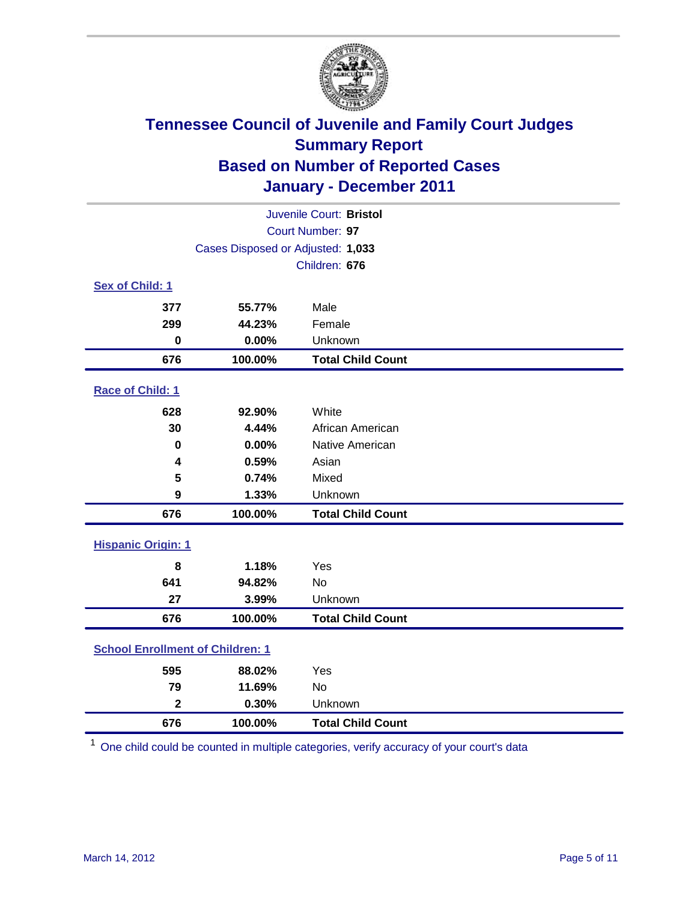

| Juvenile Court: Bristol                 |                                   |                          |  |  |  |
|-----------------------------------------|-----------------------------------|--------------------------|--|--|--|
|                                         | Court Number: 97                  |                          |  |  |  |
|                                         | Cases Disposed or Adjusted: 1,033 |                          |  |  |  |
|                                         |                                   | Children: 676            |  |  |  |
| Sex of Child: 1                         |                                   |                          |  |  |  |
| 377                                     | 55.77%                            | Male                     |  |  |  |
| 299                                     | 44.23%                            | Female                   |  |  |  |
| $\mathbf 0$                             | 0.00%                             | Unknown                  |  |  |  |
| 676                                     | 100.00%                           | <b>Total Child Count</b> |  |  |  |
| Race of Child: 1                        |                                   |                          |  |  |  |
| 628                                     | 92.90%                            | White                    |  |  |  |
| 30                                      | 4.44%                             | African American         |  |  |  |
| 0                                       | 0.00%                             | Native American          |  |  |  |
| 4                                       | 0.59%                             | Asian                    |  |  |  |
| 5                                       | 0.74%                             | Mixed                    |  |  |  |
| 9                                       | 1.33%                             | Unknown                  |  |  |  |
| 676                                     | 100.00%                           | <b>Total Child Count</b> |  |  |  |
| <b>Hispanic Origin: 1</b>               |                                   |                          |  |  |  |
| 8                                       | 1.18%                             | Yes                      |  |  |  |
| 641                                     | 94.82%                            | <b>No</b>                |  |  |  |
| 27                                      | 3.99%                             | Unknown                  |  |  |  |
| 676                                     | 100.00%                           | <b>Total Child Count</b> |  |  |  |
| <b>School Enrollment of Children: 1</b> |                                   |                          |  |  |  |
| 595                                     | 88.02%                            | Yes                      |  |  |  |
| 79                                      | 11.69%                            | No                       |  |  |  |
| $\overline{\mathbf{2}}$                 | 0.30%                             | Unknown                  |  |  |  |
| 676                                     | 100.00%                           | <b>Total Child Count</b> |  |  |  |

One child could be counted in multiple categories, verify accuracy of your court's data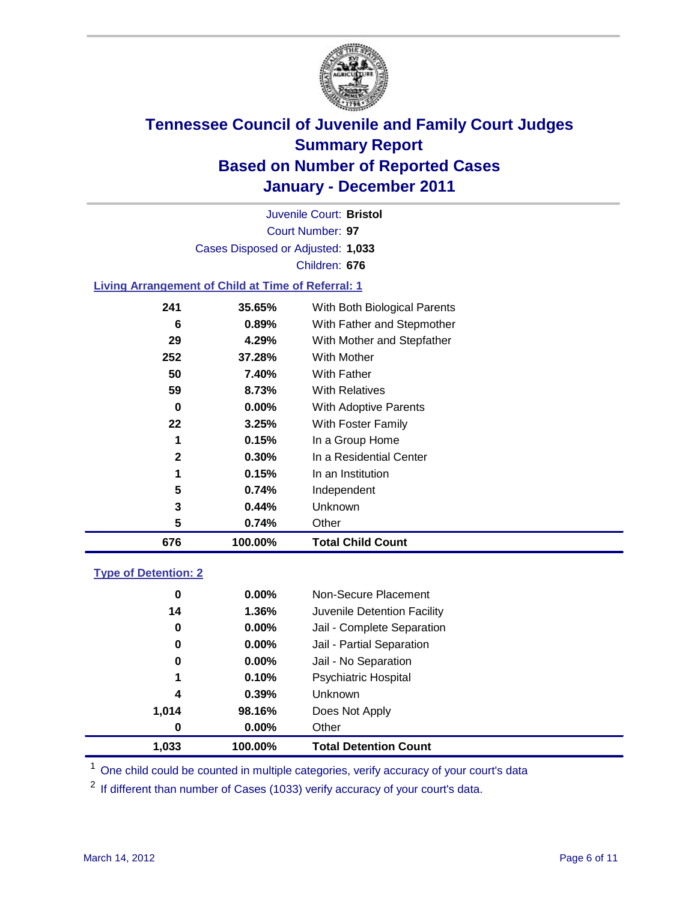

Court Number: **97** Juvenile Court: **Bristol** Cases Disposed or Adjusted: **1,033** Children: **676**

#### **Living Arrangement of Child at Time of Referral: 1**

| 676          | 100.00%  | <b>Total Child Count</b>     |
|--------------|----------|------------------------------|
| 5            | 0.74%    | Other                        |
| 3            | 0.44%    | Unknown                      |
| 5            | 0.74%    | Independent                  |
| 1            | 0.15%    | In an Institution            |
| $\mathbf{2}$ | 0.30%    | In a Residential Center      |
| 1            | 0.15%    | In a Group Home              |
| 22           | 3.25%    | With Foster Family           |
| 0            | $0.00\%$ | <b>With Adoptive Parents</b> |
| 59           | 8.73%    | <b>With Relatives</b>        |
| 50           | 7.40%    | With Father                  |
| 252          | 37.28%   | <b>With Mother</b>           |
| 29           | 4.29%    | With Mother and Stepfather   |
| 6            | $0.89\%$ | With Father and Stepmother   |
| 241          | 35.65%   | With Both Biological Parents |
|              |          |                              |

### **Type of Detention: 2**

| 1,033            | 100.00%  | <b>Total Detention Count</b> |
|------------------|----------|------------------------------|
| $\boldsymbol{0}$ | $0.00\%$ | Other                        |
| 1,014            | 98.16%   | Does Not Apply               |
| 4                | 0.39%    | <b>Unknown</b>               |
| 1                | 0.10%    | Psychiatric Hospital         |
| 0                | 0.00%    | Jail - No Separation         |
| 0                | $0.00\%$ | Jail - Partial Separation    |
| $\boldsymbol{0}$ | 0.00%    | Jail - Complete Separation   |
| 14               | 1.36%    | Juvenile Detention Facility  |
| 0                | $0.00\%$ | Non-Secure Placement         |
|                  |          |                              |

<sup>1</sup> One child could be counted in multiple categories, verify accuracy of your court's data

<sup>2</sup> If different than number of Cases (1033) verify accuracy of your court's data.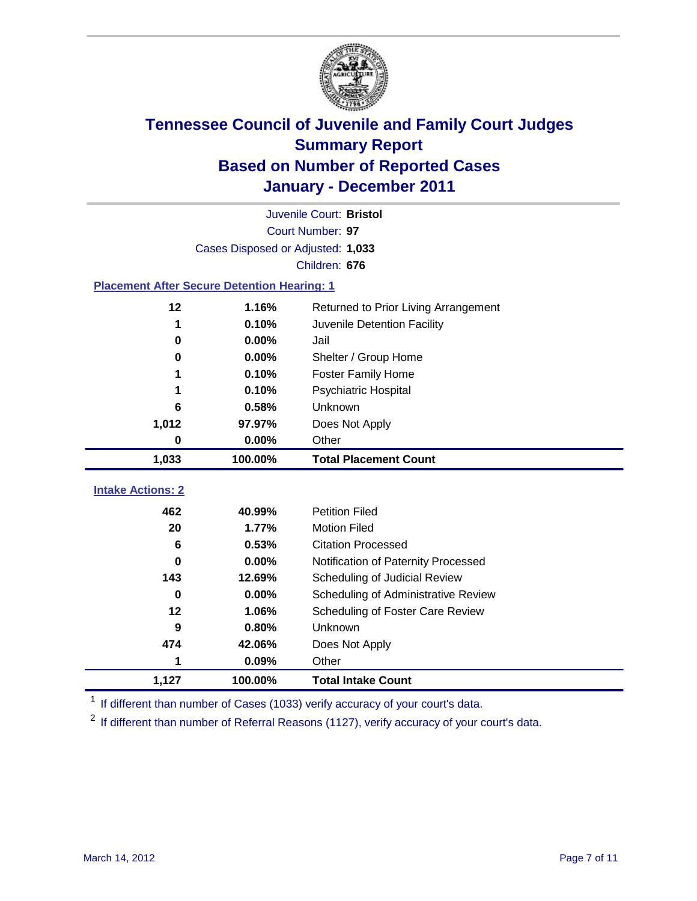

|                                                    | Juvenile Court: Bristol           |                                      |  |  |  |  |
|----------------------------------------------------|-----------------------------------|--------------------------------------|--|--|--|--|
| Court Number: 97                                   |                                   |                                      |  |  |  |  |
|                                                    | Cases Disposed or Adjusted: 1,033 |                                      |  |  |  |  |
|                                                    | Children: 676                     |                                      |  |  |  |  |
| <b>Placement After Secure Detention Hearing: 1</b> |                                   |                                      |  |  |  |  |
| 12                                                 | 1.16%                             | Returned to Prior Living Arrangement |  |  |  |  |
| 1                                                  | 0.10%                             | Juvenile Detention Facility          |  |  |  |  |
| $\bf{0}$                                           | 0.00%                             | Jail                                 |  |  |  |  |
| $\bf{0}$                                           | 0.00%                             | Shelter / Group Home                 |  |  |  |  |
|                                                    | 0.10%                             | <b>Foster Family Home</b>            |  |  |  |  |
| 1                                                  | 0.10%                             | <b>Psychiatric Hospital</b>          |  |  |  |  |
| 6                                                  | 0.58%                             | Unknown                              |  |  |  |  |
| 1,012                                              | 97.97%                            | Does Not Apply                       |  |  |  |  |
| $\mathbf 0$                                        | 0.00%                             | Other                                |  |  |  |  |
| 1,033                                              | 100.00%                           | <b>Total Placement Count</b>         |  |  |  |  |
|                                                    |                                   |                                      |  |  |  |  |
| <b>Intake Actions: 2</b>                           |                                   |                                      |  |  |  |  |
| 462                                                | 40.99%                            | <b>Petition Filed</b>                |  |  |  |  |
| 20                                                 | 1.77%                             | <b>Motion Filed</b>                  |  |  |  |  |
| 6                                                  | 0.53%                             | <b>Citation Processed</b>            |  |  |  |  |
| 0                                                  | 0.00%                             | Notification of Paternity Processed  |  |  |  |  |
| 143                                                | 12.69%                            | Scheduling of Judicial Review        |  |  |  |  |
| $\bf{0}$                                           | 0.00%                             | Scheduling of Administrative Review  |  |  |  |  |
| 12                                                 | 1.06%                             | Scheduling of Foster Care Review     |  |  |  |  |
| 9                                                  | 0.80%                             | Unknown                              |  |  |  |  |
| 474                                                | 42.06%                            | Does Not Apply                       |  |  |  |  |
| 1                                                  | 0.09%                             | Other                                |  |  |  |  |
| 1,127                                              | 100.00%                           | <b>Total Intake Count</b>            |  |  |  |  |

<sup>1</sup> If different than number of Cases (1033) verify accuracy of your court's data.

<sup>2</sup> If different than number of Referral Reasons (1127), verify accuracy of your court's data.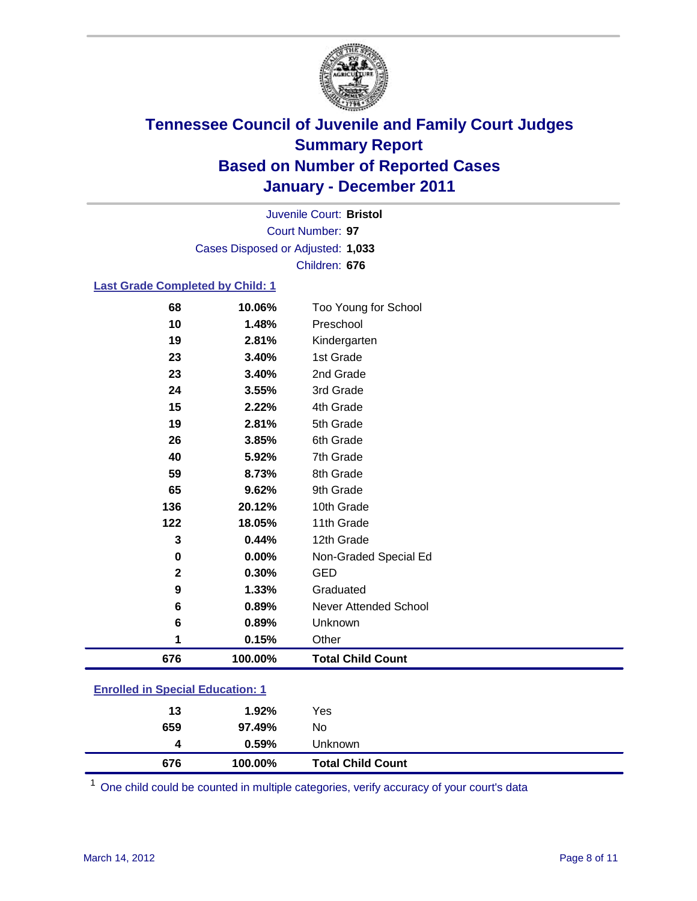

Court Number: **97** Juvenile Court: **Bristol** Cases Disposed or Adjusted: **1,033** Children: **676**

#### **Last Grade Completed by Child: 1**

| 68                                      | 10.06%  | Too Young for School         |  |
|-----------------------------------------|---------|------------------------------|--|
| 10                                      | 1.48%   | Preschool                    |  |
| 19                                      | 2.81%   | Kindergarten                 |  |
| 23                                      | 3.40%   | 1st Grade                    |  |
| 23                                      | 3.40%   | 2nd Grade                    |  |
| 24                                      | 3.55%   | 3rd Grade                    |  |
| 15                                      | 2.22%   | 4th Grade                    |  |
| 19                                      | 2.81%   | 5th Grade                    |  |
| 26                                      | 3.85%   | 6th Grade                    |  |
| 40                                      | 5.92%   | 7th Grade                    |  |
| 59                                      | 8.73%   | 8th Grade                    |  |
| 65                                      | 9.62%   | 9th Grade                    |  |
| 136                                     | 20.12%  | 10th Grade                   |  |
| 122                                     | 18.05%  | 11th Grade                   |  |
| 3                                       | 0.44%   | 12th Grade                   |  |
| 0                                       | 0.00%   | Non-Graded Special Ed        |  |
| $\mathbf{2}$                            | 0.30%   | <b>GED</b>                   |  |
| 9                                       | 1.33%   | Graduated                    |  |
| 6                                       | 0.89%   | <b>Never Attended School</b> |  |
| 6                                       | 0.89%   | Unknown                      |  |
| 1                                       | 0.15%   | Other                        |  |
| 676                                     | 100.00% | <b>Total Child Count</b>     |  |
| <b>Enrolled in Special Education: 1</b> |         |                              |  |

| 676 | 100.00%  | <b>Total Child Count</b> |
|-----|----------|--------------------------|
| 4   | $0.59\%$ | Unknown                  |
| 659 | 97.49%   | No                       |
| 13  | 1.92%    | Yes                      |
|     |          |                          |

One child could be counted in multiple categories, verify accuracy of your court's data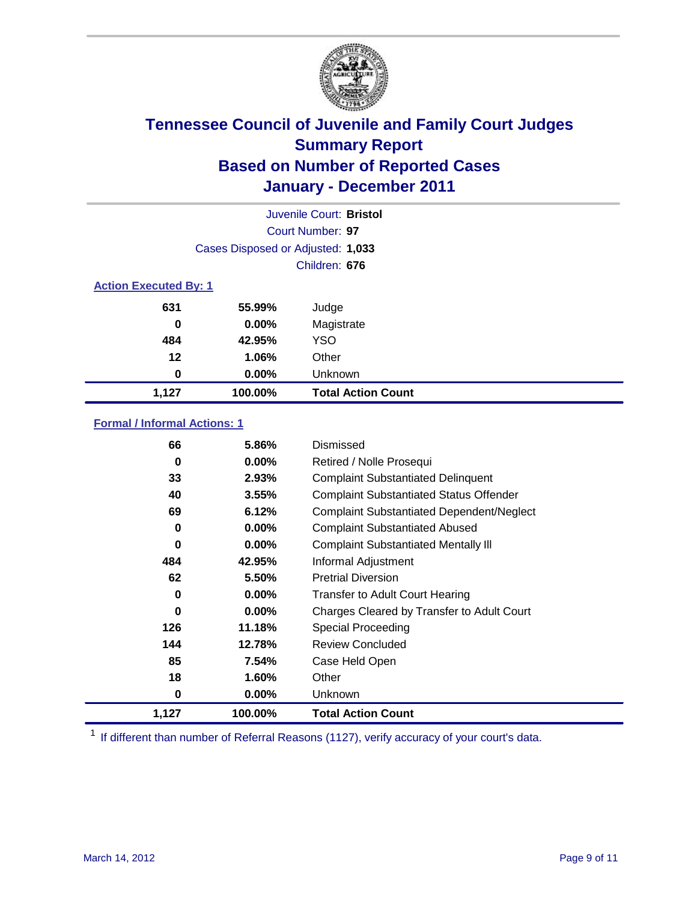

|                  | Juvenile Court: Bristol           |                           |  |  |  |
|------------------|-----------------------------------|---------------------------|--|--|--|
| Court Number: 97 |                                   |                           |  |  |  |
|                  | Cases Disposed or Adjusted: 1,033 |                           |  |  |  |
|                  | Children: 676                     |                           |  |  |  |
|                  | <b>Action Executed By: 1</b>      |                           |  |  |  |
| 631              | 55.99%                            | Judge                     |  |  |  |
| $\bf{0}$         | $0.00\%$                          | Magistrate                |  |  |  |
| 484              | 42.95%                            | <b>YSO</b>                |  |  |  |
| 12               | 1.06%                             | Other                     |  |  |  |
| 0                | $0.00\%$                          | Unknown                   |  |  |  |
| 1,127            | 100.00%                           | <b>Total Action Count</b> |  |  |  |

### **Formal / Informal Actions: 1**

| 66    | 5.86%    | Dismissed                                        |
|-------|----------|--------------------------------------------------|
| 0     | $0.00\%$ | Retired / Nolle Prosequi                         |
| 33    | 2.93%    | <b>Complaint Substantiated Delinquent</b>        |
| 40    | 3.55%    | <b>Complaint Substantiated Status Offender</b>   |
| 69    | 6.12%    | <b>Complaint Substantiated Dependent/Neglect</b> |
| 0     | 0.00%    | <b>Complaint Substantiated Abused</b>            |
| 0     | $0.00\%$ | <b>Complaint Substantiated Mentally III</b>      |
| 484   | 42.95%   | Informal Adjustment                              |
| 62    | 5.50%    | <b>Pretrial Diversion</b>                        |
| 0     | $0.00\%$ | <b>Transfer to Adult Court Hearing</b>           |
| 0     | $0.00\%$ | Charges Cleared by Transfer to Adult Court       |
| 126   | 11.18%   | Special Proceeding                               |
| 144   | 12.78%   | <b>Review Concluded</b>                          |
| 85    | 7.54%    | Case Held Open                                   |
| 18    | $1.60\%$ | Other                                            |
| 0     | $0.00\%$ | <b>Unknown</b>                                   |
| 1,127 | 100.00%  | <b>Total Action Count</b>                        |

<sup>1</sup> If different than number of Referral Reasons (1127), verify accuracy of your court's data.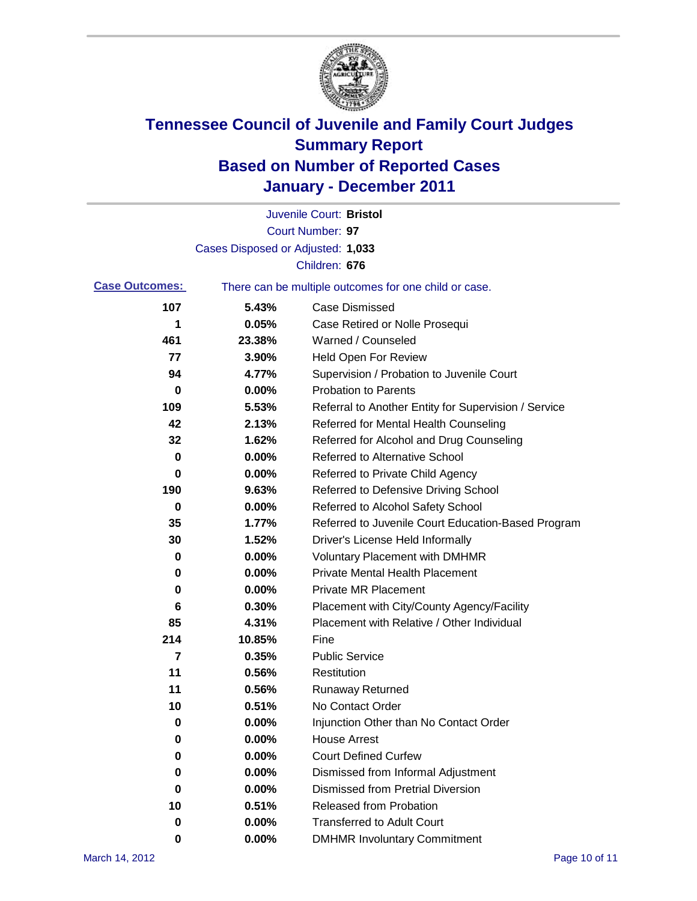

|                       |                                   | Juvenile Court: Bristol                               |
|-----------------------|-----------------------------------|-------------------------------------------------------|
|                       |                                   | Court Number: 97                                      |
|                       | Cases Disposed or Adjusted: 1,033 |                                                       |
|                       |                                   | Children: 676                                         |
| <b>Case Outcomes:</b> |                                   | There can be multiple outcomes for one child or case. |
| 107                   | 5.43%                             | <b>Case Dismissed</b>                                 |
| 1                     | 0.05%                             | Case Retired or Nolle Prosequi                        |
| 461                   | 23.38%                            | Warned / Counseled                                    |
| 77                    | 3.90%                             | <b>Held Open For Review</b>                           |
| 94                    | 4.77%                             | Supervision / Probation to Juvenile Court             |
| 0                     | 0.00%                             | <b>Probation to Parents</b>                           |
| 109                   | 5.53%                             | Referral to Another Entity for Supervision / Service  |
| 42                    | 2.13%                             | Referred for Mental Health Counseling                 |
| 32                    | 1.62%                             | Referred for Alcohol and Drug Counseling              |
| 0                     | 0.00%                             | Referred to Alternative School                        |
| 0                     | 0.00%                             | Referred to Private Child Agency                      |
| 190                   | 9.63%                             | Referred to Defensive Driving School                  |
| 0                     | 0.00%                             | Referred to Alcohol Safety School                     |
| 35                    | 1.77%                             | Referred to Juvenile Court Education-Based Program    |
| 30                    | 1.52%                             | Driver's License Held Informally                      |
| 0                     | 0.00%                             | <b>Voluntary Placement with DMHMR</b>                 |
| 0                     | 0.00%                             | <b>Private Mental Health Placement</b>                |
| 0                     | 0.00%                             | <b>Private MR Placement</b>                           |
| 6                     | 0.30%                             | Placement with City/County Agency/Facility            |
| 85                    | 4.31%                             | Placement with Relative / Other Individual            |
| 214                   | 10.85%                            | Fine                                                  |
| 7                     | 0.35%                             | <b>Public Service</b>                                 |
| 11                    | 0.56%                             | Restitution                                           |
| 11                    | 0.56%                             | <b>Runaway Returned</b>                               |
| 10                    | 0.51%                             | No Contact Order                                      |
| 0                     | $0.00\%$                          | Injunction Other than No Contact Order                |
| 0                     | 0.00%                             | <b>House Arrest</b>                                   |
| 0                     | 0.00%                             | <b>Court Defined Curfew</b>                           |
| 0                     | 0.00%                             | Dismissed from Informal Adjustment                    |
| 0                     | 0.00%                             | <b>Dismissed from Pretrial Diversion</b>              |
| 10                    | 0.51%                             | Released from Probation                               |
| 0                     | 0.00%                             | <b>Transferred to Adult Court</b>                     |
| 0                     | $0.00\%$                          | <b>DMHMR Involuntary Commitment</b>                   |